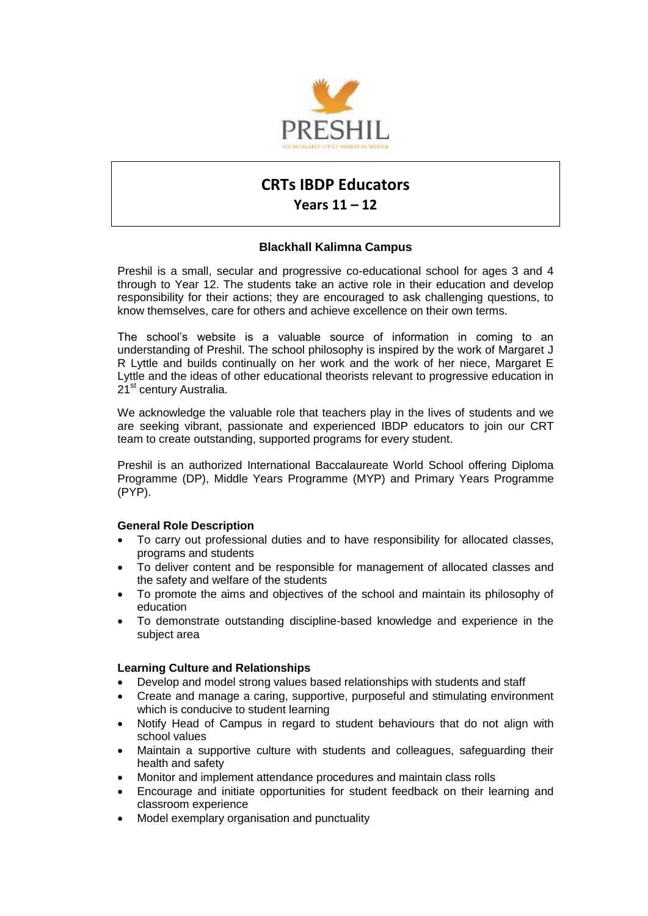

# **CRTs IBDP Educators**

## **Years 11 – 12**

### **Blackhall Kalimna Campus**

Preshil is a small, secular and progressive co-educational school for ages 3 and 4 through to Year 12. The students take an active role in their education and develop responsibility for their actions; they are encouraged to ask challenging questions, to know themselves, care for others and achieve excellence on their own terms.

The school's website is a valuable source of information in coming to an understanding of Preshil. The school philosophy is inspired by the work of Margaret J R Lyttle and builds continually on her work and the work of her niece, Margaret E Lyttle and the ideas of other educational theorists relevant to progressive education in 21<sup>st</sup> century Australia.

We acknowledge the valuable role that teachers play in the lives of students and we are seeking vibrant, passionate and experienced IBDP educators to join our CRT team to create outstanding, supported programs for every student.

Preshil is an authorized International Baccalaureate World School offering Diploma Programme (DP), Middle Years Programme (MYP) and Primary Years Programme (PYP).

#### **General Role Description**

- To carry out professional duties and to have responsibility for allocated classes, programs and students
- To deliver content and be responsible for management of allocated classes and the safety and welfare of the students
- To promote the aims and objectives of the school and maintain its philosophy of education
- To demonstrate outstanding discipline-based knowledge and experience in the subject area

#### **Learning Culture and Relationships**

- Develop and model strong values based relationships with students and staff
- Create and manage a caring, supportive, purposeful and stimulating environment which is conducive to student learning
- Notify Head of Campus in regard to student behaviours that do not align with school values
- Maintain a supportive culture with students and colleagues, safeguarding their health and safety
- Monitor and implement attendance procedures and maintain class rolls
- Encourage and initiate opportunities for student feedback on their learning and classroom experience
- Model exemplary organisation and punctuality